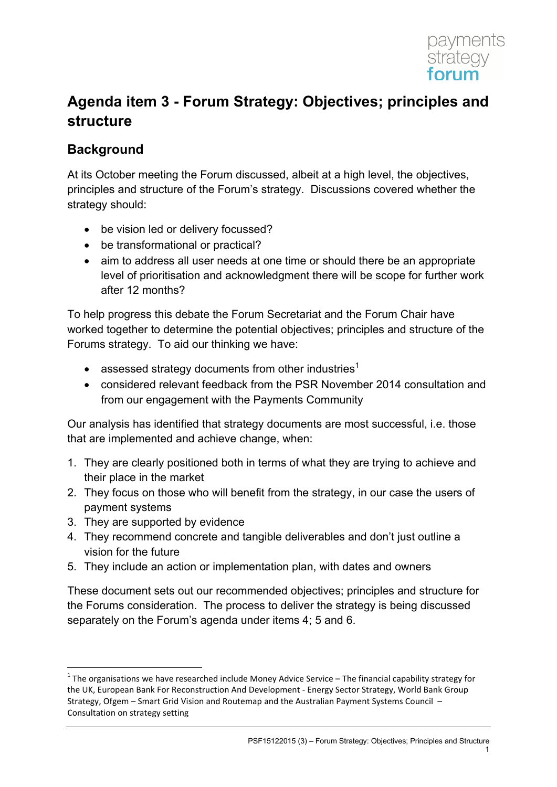

# **Agenda item 3 - Forum Strategy: Objectives; principles and structure**

### **Background**

At its October meeting the Forum discussed, albeit at a high level, the objectives, principles and structure of the Forum's strategy. Discussions covered whether the strategy should:

- be vision led or delivery focussed?
- be transformational or practical?
- aim to address all user needs at one time or should there be an appropriate level of prioritisation and acknowledgment there will be scope for further work after 12 months?

To help progress this debate the Forum Secretariat and the Forum Chair have worked together to determine the potential objectives; principles and structure of the Forums strategy. To aid our thinking we have:

- assessed strategy documents from other industries<sup>1</sup>
- considered relevant feedback from the PSR November 2014 consultation and from our engagement with the Payments Community

Our analysis has identified that strategy documents are most successful, i.e. those that are implemented and achieve change, when:

- 1. They are clearly positioned both in terms of what they are trying to achieve and their place in the market
- 2. They focus on those who will benefit from the strategy, in our case the users of payment systems
- 3. They are supported by evidence

<u>.</u>

- 4. They recommend concrete and tangible deliverables and don't just outline a vision for the future
- 5. They include an action or implementation plan, with dates and owners

These document sets out our recommended objectives; principles and structure for the Forums consideration. The process to deliver the strategy is being discussed separately on the Forum's agenda under items 4; 5 and 6.

 $1$  The organisations we have researched include Money Advice Service – The financial capability strategy for the UK, European Bank For Reconstruction And Development - Energy Sector Strategy, World Bank Group Strategy, Ofgem – Smart Grid Vision and Routemap and the Australian Payment Systems Council – Consultation on strategy setting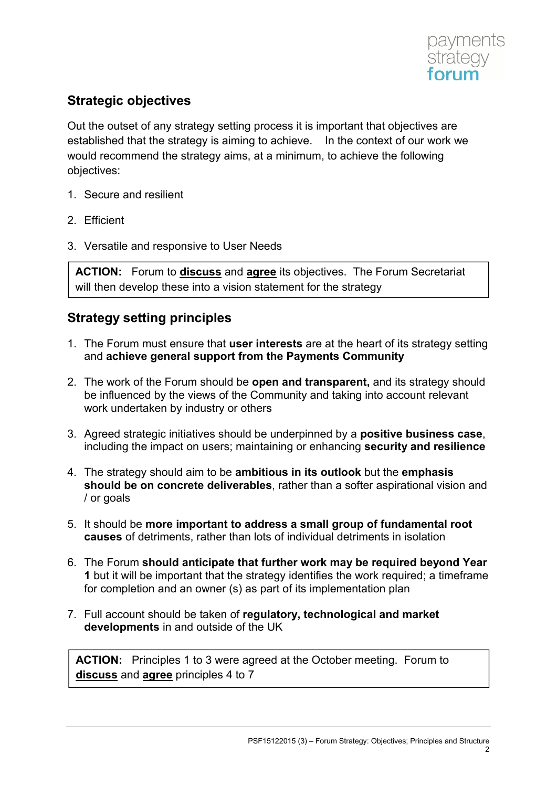

## **Strategic objectives**

Out the outset of any strategy setting process it is important that objectives are established that the strategy is aiming to achieve. In the context of our work we would recommend the strategy aims, at a minimum, to achieve the following objectives:

- 1. Secure and resilient
- 2. Efficient
- 3. Versatile and responsive to User Needs

**ACTION:** Forum to **discuss** and **agree** its objectives. The Forum Secretariat will then develop these into a vision statement for the strategy

#### **Strategy setting principles**

- 1. The Forum must ensure that **user interests** are at the heart of its strategy setting and **achieve general support from the Payments Community**
- 2. The work of the Forum should be **open and transparent,** and its strategy should be influenced by the views of the Community and taking into account relevant work undertaken by industry or others
- 3. Agreed strategic initiatives should be underpinned by a **positive business case**, including the impact on users; maintaining or enhancing **security and resilience**
- 4. The strategy should aim to be **ambitious in its outlook** but the **emphasis should be on concrete deliverables**, rather than a softer aspirational vision and / or goals
- 5. It should be **more important to address a small group of fundamental root causes** of detriments, rather than lots of individual detriments in isolation
- 6. The Forum **should anticipate that further work may be required beyond Year 1** but it will be important that the strategy identifies the work required; a timeframe for completion and an owner (s) as part of its implementation plan
- 7. Full account should be taken of **regulatory, technological and market developments** in and outside of the UK

**ACTION:** Principles 1 to 3 were agreed at the October meeting.Forum to **discuss** and **agree** principles 4 to 7